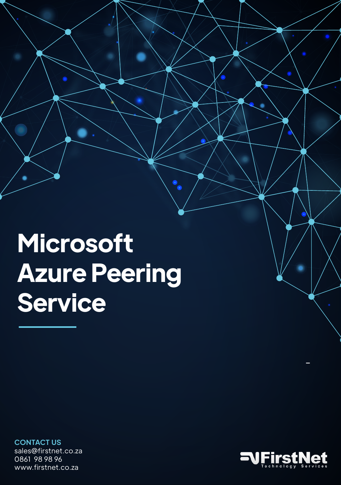**Microsoft Azure Peering Service**

 $\bullet$  $\ddot{\bullet}$ 

**CONTACT US** sales@firstnet.co.za 0861 98 98 96 www.firstnet.co.za



-